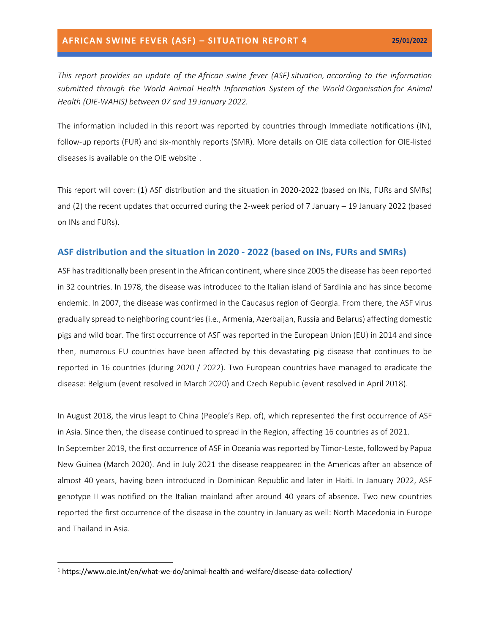*This report provides an update of the African swine fever (ASF) situation, according to the information submitted through the World Animal Health Information System of the World Organisation for Animal Health (OIE-WAHIS) between 07 and 19 January 2022.*

The information included in this report was reported by countries through Immediate notifications (IN), follow-up reports (FUR) and six-monthly reports (SMR). More details on OIE data collection for OIE-listed diseases is available on the OIE website<sup>1</sup>.

This report will cover: (1) ASF distribution and the situation in 2020-2022 (based on INs, FURs and SMRs) and (2) the recent updates that occurred during the 2-week period of 7 January – 19 January 2022 (based on INs and FURs).

### **ASF distribution and the situation in 2020 - 2022 (based on INs, FURs and SMRs)**

ASF has traditionally been present in the African continent, where since 2005 the disease has been reported in 32 countries. In 1978, the disease was introduced to the Italian island of Sardinia and has since become endemic. In 2007, the disease was confirmed in the Caucasus region of Georgia. From there, the ASF virus gradually spread to neighboring countries (i.e., Armenia, Azerbaijan, Russia and Belarus) affecting domestic pigs and wild boar. The first occurrence of ASF was reported in the European Union (EU) in 2014 and since then, numerous EU countries have been affected by this devastating pig disease that continues to be reported in 16 countries (during 2020 / 2022). Two European countries have managed to eradicate the disease: Belgium (event resolved in March 2020) and Czech Republic (event resolved in April 2018).

In August 2018, the virus leapt to China (People's Rep. of), which represented the first occurrence of ASF in Asia. Since then, the disease continued to spread in the Region, affecting 16 countries as of 2021. In September 2019, the first occurrence of ASF in Oceania was reported by Timor-Leste, followed by Papua New Guinea (March 2020). And in July 2021 the disease reappeared in the Americas after an absence of almost 40 years, having been introduced in Dominican Republic and later in Haiti. In January 2022, ASF genotype II was notified on the Italian mainland after around 40 years of absence. Two new countries reported the first occurrence of the disease in the country in January as well: North Macedonia in Europe and Thailand in Asia.

<sup>1</sup> https://www.oie.int/en/what-we-do/animal-health-and-welfare/disease-data-collection/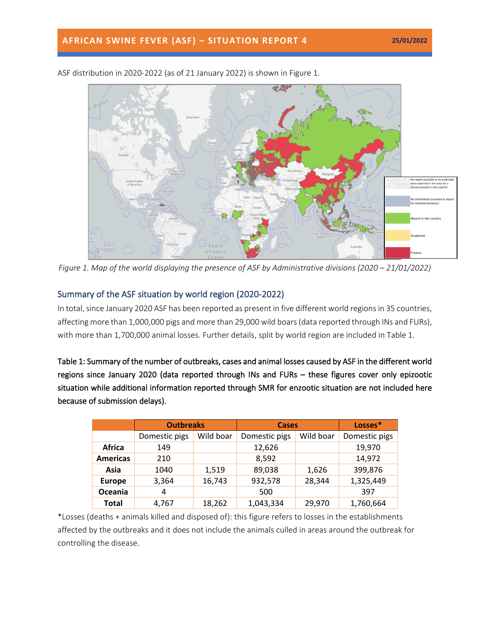

ASF distribution in 2020-2022 (as of 21 January 2022) is shown in Figure 1.

*Figure 1. Map of the world displaying the presence of ASF by Administrative divisions (2020 – 21/01/2022)* 

## Summary of the ASF situation by world region (2020-2022)

In total, since January 2020 ASF has been reported as present in five different world regions in 35 countries, affecting more than 1,000,000 pigs and more than 29,000 wild boars(data reported through INs and FURs), with more than 1,700,000 animal losses. Further details, split by world region are included in Table 1.

Table 1: Summary of the number of outbreaks, cases and animal losses caused by ASF in the different world regions since January 2020 (data reported through INs and FURs – these figures cover only epizootic situation while additional information reported through SMR for enzootic situation are not included here because of submission delays).

|                 | <b>Outbreaks</b> |           | <b>Cases</b>  |           | Losses*       |
|-----------------|------------------|-----------|---------------|-----------|---------------|
|                 | Domestic pigs    | Wild boar | Domestic pigs | Wild boar | Domestic pigs |
| Africa          | 149              |           | 12,626        |           | 19,970        |
| <b>Americas</b> | 210              |           | 8,592         |           | 14,972        |
| Asia            | 1040             | 1,519     | 89,038        | 1,626     | 399,876       |
| <b>Europe</b>   | 3,364            | 16,743    | 932,578       | 28,344    | 1,325,449     |
| Oceania         | 4                |           | 500           |           | 397           |
| <b>Total</b>    | 4,767            | 18,262    | 1,043,334     | 29,970    | 1,760,664     |

\*Losses (deaths + animals killed and disposed of): this figure refers to losses in the establishments affected by the outbreaks and it does not include the animals culled in areas around the outbreak for controlling the disease.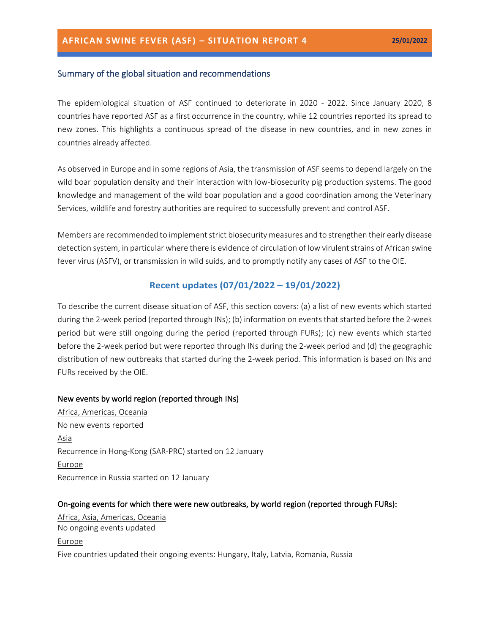### Summary of the global situation and recommendations

The epidemiological situation of ASF continued to deteriorate in 2020 - 2022. Since January 2020, 8 countries have reported ASF as a first occurrence in the country, while 12 countries reported its spread to new zones. This highlights a continuous spread of the disease in new countries, and in new zones in countries already affected.

As observed in Europe and in some regions of Asia, the transmission of ASF seems to depend largely on the wild boar population density and their interaction with low-biosecurity pig production systems. The good knowledge and management of the wild boar population and a good coordination among the Veterinary Services, wildlife and forestry authorities are required to successfully prevent and control ASF.

Members are recommended to implement strict biosecurity measures and to strengthen their early disease detection system, in particular where there is evidence of circulation of low virulent strains of African swine fever virus (ASFV), or transmission in wild suids, and to promptly notify any cases of ASF to the OIE.

## **Recent updates (07/01/2022 – 19/01/2022)**

To describe the current disease situation of ASF, this section covers: (a) a list of new events which started during the 2-week period (reported through INs); (b) information on events that started before the 2-week period but were still ongoing during the period (reported through FURs); (c) new events which started before the 2-week period but were reported through INs during the 2-week period and (d) the geographic distribution of new outbreaks that started during the 2-week period. This information is based on INs and FURs received by the OIE.

### New events by world region (reported through INs)

Africa, Americas, Oceania No new events reported Asia Recurrence in Hong-Kong (SAR-PRC) started on 12 January Europe Recurrence in Russia started on 12 January

### On-going events for which there were new outbreaks, by world region (reported through FURs):

Africa, Asia, Americas, Oceania No ongoing events updated Europe Five countries updated their ongoing events: Hungary, Italy, Latvia, Romania, Russia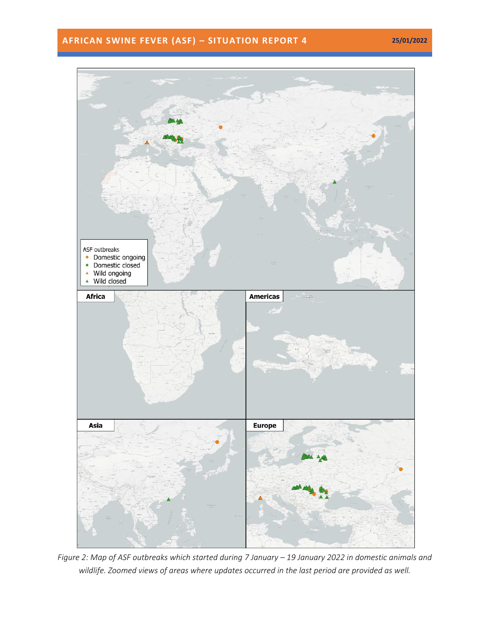## **AFRICAN SWINE FEVER (ASF) – SITUATION REPORT 4 25/01/2022**



*Figure 2: Map of ASF outbreaks which started during 7 January – 19 January 2022 in domestic animals and wildlife. Zoomed views of areas where updates occurred in the last period are provided as well.*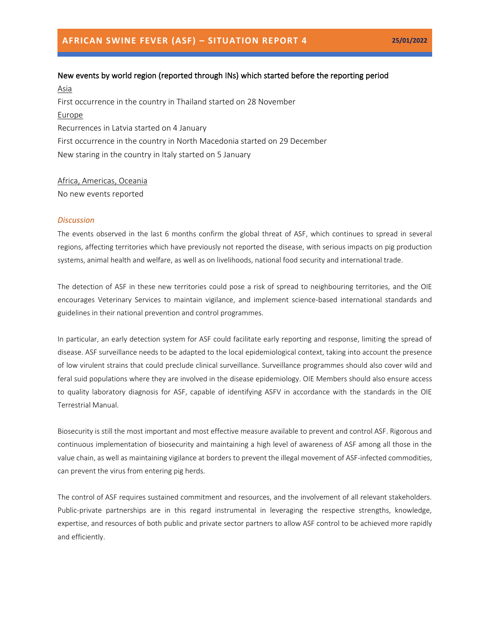# New events by world region (reported through INs) which started before the reporting period

Asia First occurrence in the country in Thailand started on 28 November Europe Recurrences in Latvia started on 4 January First occurrence in the country in North Macedonia started on 29 December New staring in the country in Italy started on 5 January

### Africa, Americas, Oceania

No new events reported

#### *Discussion*

The events observed in the last 6 months confirm the global threat of ASF, which continues to spread in several regions, affecting territories which have previously not reported the disease, with serious impacts on pig production systems, animal health and welfare, as well as on livelihoods, national food security and international trade.

The detection of ASF in these new territories could pose a risk of spread to neighbouring territories, and the OIE encourages Veterinary Services to maintain vigilance, and implement science-based international standards and guidelines in their national prevention and control programmes.

In particular, an early detection system for ASF could facilitate early reporting and response, limiting the spread of disease. ASF surveillance needs to be adapted to the local epidemiological context, taking into account the presence of low virulent strains that could preclude clinical surveillance. Surveillance programmes should also cover wild and feral suid populations where they are involved in the disease epidemiology. OIE Members should also ensure access to quality laboratory diagnosis for ASF, capable of identifying ASFV in accordance with the standards in the OIE Terrestrial Manual.

Biosecurity is still the most important and most effective measure available to prevent and control ASF. Rigorous and continuous implementation of biosecurity and maintaining a high level of awareness of ASF among all those in the value chain, as well as maintaining vigilance at borders to prevent the illegal movement of ASF-infected commodities, can prevent the virus from entering pig herds.

The control of ASF requires sustained commitment and resources, and the involvement of all relevant stakeholders. Public-private partnerships are in this regard instrumental in leveraging the respective strengths, knowledge, expertise, and resources of both public and private sector partners to allow ASF control to be achieved more rapidly and efficiently.